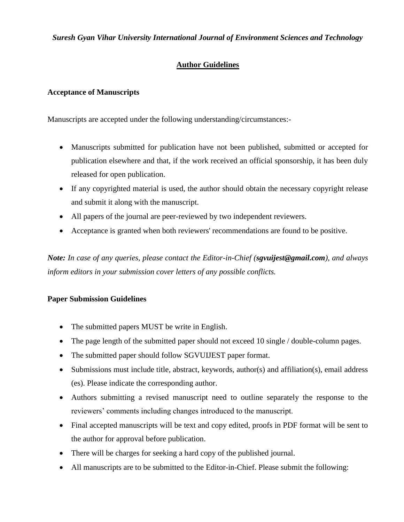### *Suresh Gyan Vihar University International Journal of Environment Sciences and Technology*

## **Author Guidelines**

### **Acceptance of Manuscripts**

Manuscripts are accepted under the following understanding/circumstances:-

- Manuscripts submitted for publication have not been published, submitted or accepted for publication elsewhere and that, if the work received an official sponsorship, it has been duly released for open publication.
- If any copyrighted material is used, the author should obtain the necessary copyright release and submit it along with the manuscript.
- All papers of the journal are peer-reviewed by two independent reviewers.
- Acceptance is granted when both reviewers' recommendations are found to be positive.

*Note: In case of any queries, please contact the Editor-in-Chief (sgvuijest@gmail.com), and always inform editors in your submission cover letters of any possible conflicts.*

### **Paper Submission Guidelines**

- The submitted papers MUST be write in English.
- The page length of the submitted paper should not exceed 10 single / double-column pages.
- The submitted paper should follow SGVUIJEST paper format.
- Submissions must include title, abstract, keywords, author(s) and affiliation(s), email address (es). Please indicate the corresponding author.
- Authors submitting a revised manuscript need to outline separately the response to the reviewers' comments including changes introduced to the manuscript.
- Final accepted manuscripts will be text and copy edited, proofs in PDF format will be sent to the author for approval before publication.
- There will be charges for seeking a hard copy of the published journal.
- All manuscripts are to be submitted to the Editor-in-Chief. Please submit the following: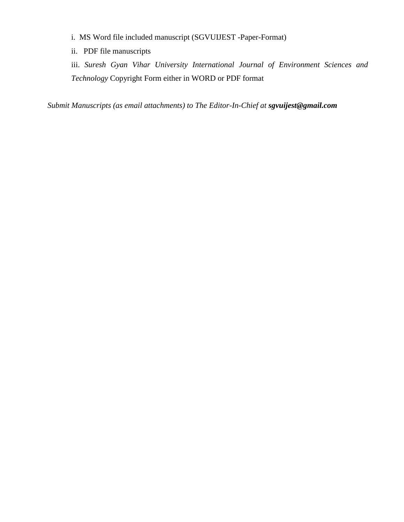i. MS Word file included manuscript (SGVUIJEST -Paper-Format)

ii. PDF file manuscripts

iii. *Suresh Gyan Vihar University International Journal of Environment Sciences and Technology* Copyright Form either in WORD or PDF format

*Submit Manuscripts (as email attachments) to The Editor-In-Chief at sgvuijest@gmail.com*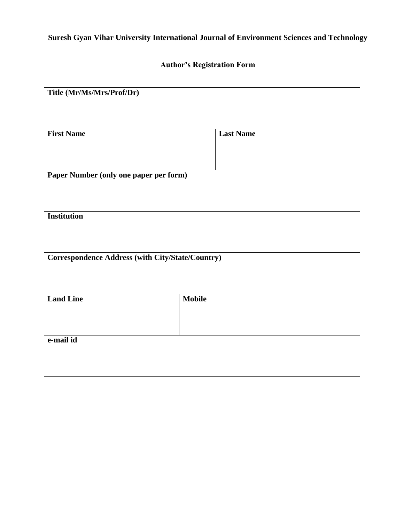# **Suresh Gyan Vihar University International Journal of Environment Sciences and Technology**

## **Author's Registration Form**

| Title (Mr/Ms/Mrs/Prof/Dr)                        |                  |
|--------------------------------------------------|------------------|
| <b>First Name</b>                                | <b>Last Name</b> |
| Paper Number (only one paper per form)           |                  |
| <b>Institution</b>                               |                  |
| Correspondence Address (with City/State/Country) |                  |
| <b>Land Line</b>                                 | <b>Mobile</b>    |
| e-mail id                                        |                  |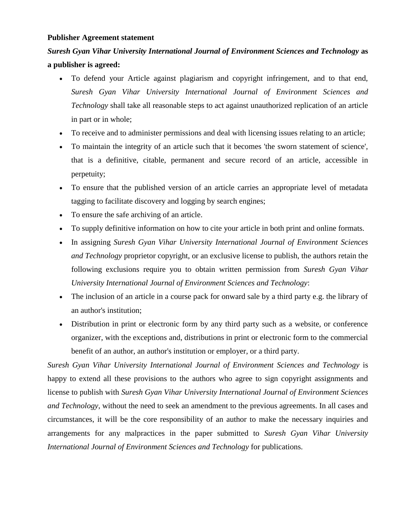#### **Publisher Agreement statement**

## *Suresh Gyan Vihar University International Journal of Environment Sciences and Technology* **as a publisher is agreed:**

- To defend your Article against plagiarism and copyright infringement, and to that end, *Suresh Gyan Vihar University International Journal of Environment Sciences and Technology* shall take all reasonable steps to act against unauthorized replication of an article in part or in whole;
- To receive and to administer permissions and deal with licensing issues relating to an article;
- To maintain the integrity of an article such that it becomes 'the sworn statement of science', that is a definitive, citable, permanent and secure record of an article, accessible in perpetuity;
- To ensure that the published version of an article carries an appropriate level of metadata tagging to facilitate discovery and logging by search engines;
- To ensure the safe archiving of an article.
- To supply definitive information on how to cite your article in both print and online formats.
- In assigning *Suresh Gyan Vihar University International Journal of Environment Sciences and Technology* proprietor copyright, or an exclusive license to publish, the authors retain the following exclusions require you to obtain written permission from *Suresh Gyan Vihar University International Journal of Environment Sciences and Technology*:
- The inclusion of an article in a course pack for onward sale by a third party e.g. the library of an author's institution;
- Distribution in print or electronic form by any third party such as a website, or conference organizer, with the exceptions and, distributions in print or electronic form to the commercial benefit of an author, an author's institution or employer, or a third party.

*Suresh Gyan Vihar University International Journal of Environment Sciences and Technology* is happy to extend all these provisions to the authors who agree to sign copyright assignments and license to publish with *Suresh Gyan Vihar University International Journal of Environment Sciences and Technology*, without the need to seek an amendment to the previous agreements. In all cases and circumstances, it will be the core responsibility of an author to make the necessary inquiries and arrangements for any malpractices in the paper submitted to *Suresh Gyan Vihar University International Journal of Environment Sciences and Technology* for publications.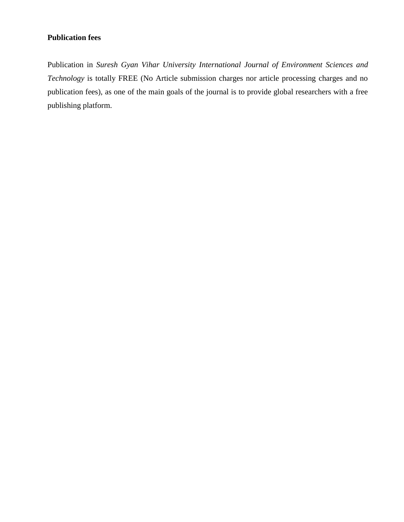## **Publication fees**

Publication in *Suresh Gyan Vihar University International Journal of Environment Sciences and Technology* is totally FREE (No Article submission charges nor article processing charges and no publication fees), as one of the main goals of the journal is to provide global researchers with a free publishing platform.